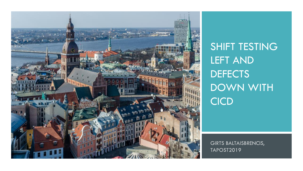

SHIFT TESTING LEFT AND **DEFECTS** DOWN WITH **CICD** 

GIRTS BALTAISBRENCIS, **TAPOST2019**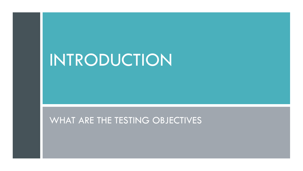# INTRODUCTION

### WHAT ARE THE TESTING OBJECTIVES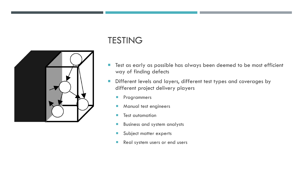### **TESTING**

- **The Test as early as possible has always been deemed to be most efficient** way of finding defects
- **Different levels and layers, different test types and coverages by** different project delivery players
	- **Programmers**
	- **Manual test engineers**
	- **Test automation**
	- **Business and system analysts**
	- **Subject matter experts**
	- Real system users or end users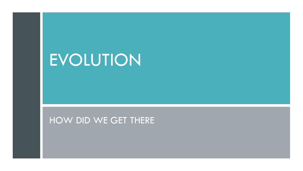# EVOLUTION

### HOW DID WE GET THERE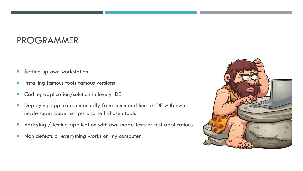### PROGRAMMER

- **Setting up own workstation**
- Installing famous tools famous versions
- Coding application/solution in lovely IDE
- **Deploying application manually from command line or IDE with own** made super duper scripts and self chosen tools
- $\blacksquare$  Verifying / testing application with own made tests or test applications
- Non defects or everything works on my computer

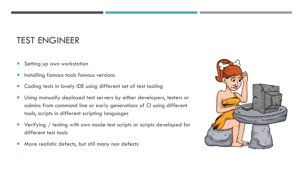### TEST ENGINEER

- **Setting up own workstation**
- **Installing famous tools famous versions**
- **E** Coding tests in lovely IDE using different set of test tooling
- **Using manually deployed test servers by either developers, testers or** admins from command line or early generations of CI using different tools, scripts in different scripting languages
- Verifying / testing with own made test scripts or scripts developed for different test tools
- **More realistic defects, but still many non defects**

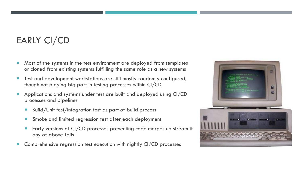### EARLY CI/CD

- Most of the systems in the test environment are deployed from templates or cloned from existing systems fulfilling the same role as a new systems
- Test and development workstations are still mostly randomly configured, though not playing big part in testing processes within CI/CD
- Applications and systems under test are built and deployed using CI/CD processes and pipelines
	- Build/Unit test/Integration test as part of build process
	- **Smoke and limited regression test after each deployment**
	- Early versions of CI/CD processes preventing code merges up stream if any of above fails
- Comprehensive regression test execution with nightly CI/CD processes

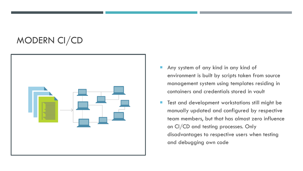### MODERN CI/CD



- Any system of any kind in any kind of environment is built by scripts taken from source management system using templates residing in containers and credentials stored in vault
- **Test and development workstations still might be** manually updated and configured by respective team members, but that has almost zero influence on CI/CD and testing processes. Only disadvantages to respective users when testing and debugging own code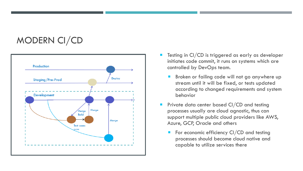### MODERN CI/CD



- Testing in CI/CD is triggered as early as developer initiates code commit, it runs on systems which are controlled by DevOps team.
	- Broken or failing code will not go anywhere up stream until it will be fixed, or tests updated according to changed requirements and system behavior
- **Private data center based CI/CD and testing** processes usually are cloud agnostic, thus can support multiple public cloud providers like AWS, Azure, GCP, Oracle and others
	- For economic efficiency CI/CD and testing processes should become cloud native and capable to utilize services there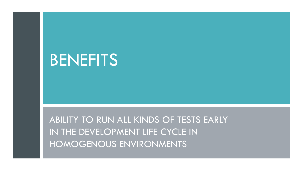## BENEFITS

ABILITY TO RUN ALL KINDS OF TESTS EARLY IN THE DEVELOPMENT LIFE CYCLE IN HOMOGENOUS ENVIRONMENTS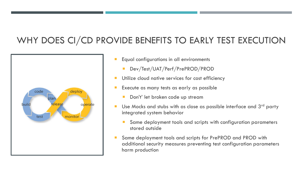### WHY DOES CI/CD PROVIDE BENEFITS TO EARLY TEST EXECUTION



- Equal configurations in all environments
	- Dev/Test/UAT/Perf/PrePROD/PROD
- **Utilize cloud native services for cost efficiency**
- Execute as many tests as early as possible
	- Don't' let broken code up stream
- Use Mocks and stubs with as close as possible interface and  $3<sup>rd</sup>$  party integrated system behavior
	- Same deployment tools and scripts with configuration parameters stored outside
- Same deployment tools and scripts for PrePROD and PROD with additional security measures preventing test configuration parameters harm production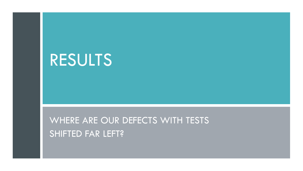# RESULTS

WHERE ARE OUR DEFECTS WITH TESTS SHIFTED FAR LEFT?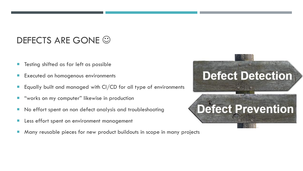### DEFECTS ARE GONE  $\odot$

- Testing shifted as far left as possible
- Executed on homogenous environments
- Equally built and managed with CI/CD for all type of environments
- "works on my computer" likewise in production
- **No effort spent on non defect analysis and troubleshooting**
- **Less effort spent on environment management**
- Many reusable pieces for new product buildouts in scope in many projects

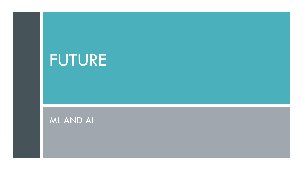# FUTURE

### ML AND AI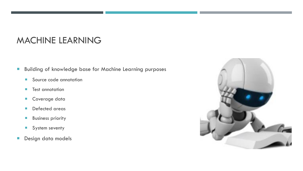### MACHINE LEARNING

- **Building of knowledge base for Machine Learning purposes** 
	- Source code annotation
	- **Test annotation**
	- **Coverage data**
	- **Defected areas**
	- **Business priority**
	- System seventy
- **Design data models**

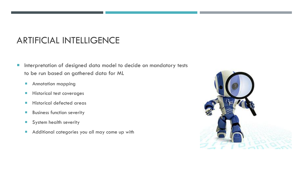### ARTIFICIAL INTELLIGENCE

- **Interpretation of designed data model to decide on mandatory tests** to be run based on gathered data for ML
	- **Annotation mapping**
	- **Historical test coverages**
	- **Historical defected areas**
	- **Business function severity**
	- System health severity
	- Additional categories you all may come up with

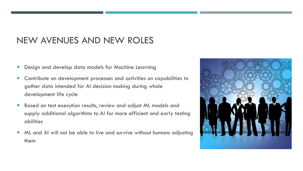### NEW AVENUES AND NEW ROLES

- Design and develop data models for Machine Learning
- Contribute on development processes and activities on capabilities to gather data intended for AI decision making during whole development life cycle
- **Based on test execution results, review and adjust ML models and** supply additional algorithms to AI for more efficient and early testing abilities
- ML and AI will not be able to live and survive without humans adjusting them